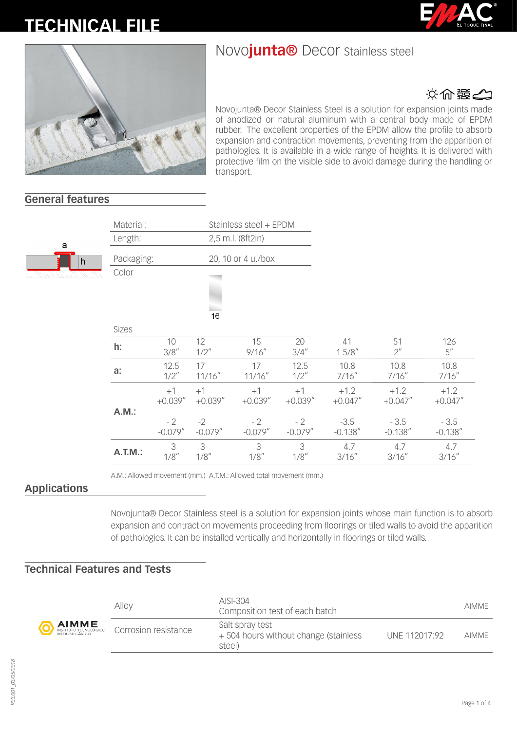# **TECHNICAL FILE**





# やいき

Novojunta® Decor Stainless Steel is a solution for expansion joints made of anodized or natural aluminum with a central body made of EPDM rubber. The excellent properties of the EPDM allow the profile to absorb expansion and contraction movements, preventing from the apparition of pathologies. It is available in a wide range of heights. It is delivered with protective film on the visible side to avoid damage during the handling or transport.

> 51 2"

10.8 7/16"

 $+1.2$ +0.047"

- 3.5 -0.138"

> 4.7 3/16"

126 5"

10.8 7/16"

 $+1.2$ +0.047"

- 3.5 -0.138"

> 4.7 3/16"

## **General features**



| Material:<br>Stainless steel + EPDM |                                         |                                          |                                          |                                          |                                              |
|-------------------------------------|-----------------------------------------|------------------------------------------|------------------------------------------|------------------------------------------|----------------------------------------------|
| Length:                             |                                         |                                          | 2,5 m.l. (8ft2in)                        |                                          |                                              |
| Packaging:                          |                                         |                                          | 20, 10 or 4 u./box                       |                                          |                                              |
| Color                               |                                         | 16                                       |                                          |                                          |                                              |
| <b>Sizes</b>                        |                                         |                                          |                                          |                                          |                                              |
| h:                                  | 10<br>3/8''                             | 12<br>$1/2$ "                            | 15<br>9/16''                             | 20<br>3/4''                              | 41<br>15/8''                                 |
| a:                                  | 12.5<br>$1/2$ "                         | 17<br>11/16''                            | 17<br>11/16''                            | 12.5<br>$1/2$ "                          | 10.8<br>7/16''                               |
| A.M.:                               | $+1$<br>$+0.039''$<br>- 2<br>$-0.079''$ | $+1$<br>$+0.039''$<br>$-2$<br>$-0.079''$ | $+1$<br>$+0.039''$<br>$-2$<br>$-0.079''$ | $+1$<br>$+0.039''$<br>$-2$<br>$-0.079''$ | $+1.2$<br>$+0.047''$<br>$-3.5$<br>$-0.138''$ |

 3 1/8"

A.M.: Allowed movement (mm.) A.T.M.: Allowed total movement (mm.)

 3 1/8"

## **Applications**

Novojunta® Decor Stainless steel is a solution for expansion joints whose main function is to absorb expansion and contraction movements proceeding from floorings or tiled walls to avoid the apparition of pathologies. It can be installed vertically and horizontally in floorings or tiled walls.

 3 1/8"

 4.7 3/16"

#### **Technical Features and Tests**

**A.T.M.:**<sup>3</sup>

1/8"



|             | Alloy                | $AISI-304$<br>Composition test of each batch                                       |              |  |
|-------------|----------------------|------------------------------------------------------------------------------------|--------------|--|
| E<br>Lõgico | Corrosion resistance | Salt spray test<br>+504 hours without change (stainless<br>UNF 112017:92<br>steel) | <b>AIMME</b> |  |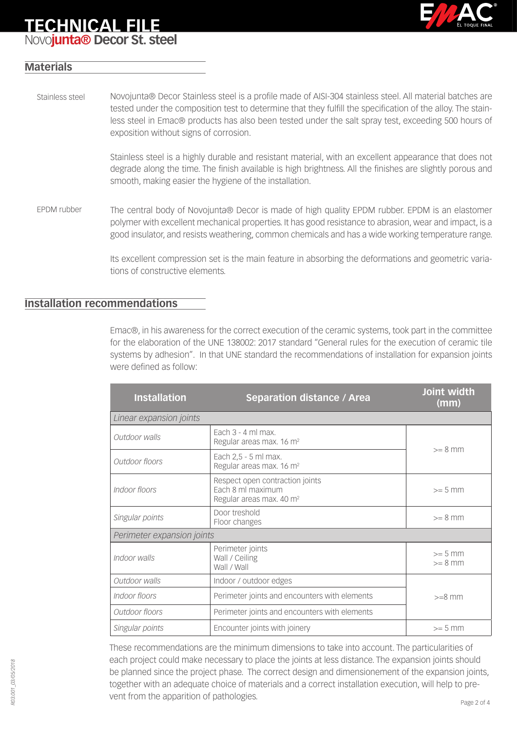# **TECHNICAL FILE**



# Novo**junta® Decor St. steel**

### **Materials**

Novojunta® Decor Stainless steel is a profile made of AISI-304 stainless steel. All material batches are tested under the composition test to determine that they fulfill the specification of the alloy. The stainless steel in Emac® products has also been tested under the salt spray test, exceeding 500 hours of exposition without signs of corrosion. Stainless steel

> Stainless steel is a highly durable and resistant material, with an excellent appearance that does not degrade along the time. The finish available is high brightness. All the finishes are slightly porous and smooth, making easier the hygiene of the installation.

The central body of Novojunta® Decor is made of high quality EPDM rubber. EPDM is an elastomer polymer with excellent mechanical properties. It has good resistance to abrasion, wear and impact, is a good insulator, and resists weathering, common chemicals and has a wide working temperature range. EPDM rubber

> Its excellent compression set is the main feature in absorbing the deformations and geometric variations of constructive elements.

#### **Installation recommendations**

Emac®, in his awareness for the correct execution of the ceramic systems, took part in the committee for the elaboration of the UNE 138002: 2017 standard "General rules for the execution of ceramic tile systems by adhesion". In that UNE standard the recommendations of installation for expansion joints were defined as follow:

| <b>Installation</b>                                               | <b>Separation distance / Area</b>                                                            |                        |  |  |
|-------------------------------------------------------------------|----------------------------------------------------------------------------------------------|------------------------|--|--|
| Linear expansion joints                                           |                                                                                              |                        |  |  |
| Outdoor walls                                                     | Fach $3 - 4$ ml max.<br>Regular areas max. 16 m <sup>2</sup>                                 | $>= 8$ mm              |  |  |
| Outdoor floors                                                    | Each 2,5 - 5 ml max.<br>Regular areas max. 16 m <sup>2</sup>                                 |                        |  |  |
| Indoor floors                                                     | Respect open contraction joints<br>Fach 8 ml maximum<br>Regular areas max. 40 m <sup>2</sup> | $>= 5$ mm              |  |  |
| Singular points                                                   | Door treshold<br>Floor changes                                                               | $>= 8$ mm              |  |  |
| Perimeter expansion joints                                        |                                                                                              |                        |  |  |
| Perimeter joints<br>Indoor walls<br>Wall / Ceiling<br>Wall / Wall |                                                                                              | $>= 5$ mm<br>$>= 8$ mm |  |  |
| Outdoor walls                                                     | Indoor / outdoor edges                                                                       |                        |  |  |
| Indoor floors                                                     | Perimeter joints and encounters with elements                                                | $>=8$ mm               |  |  |
| Outdoor floors                                                    | Perimeter joints and encounters with elements                                                |                        |  |  |
| Singular points                                                   | Encounter joints with joinery                                                                | $>= 5 mm$              |  |  |

These recommendations are the minimum dimensions to take into account. The particularities of each project could make necessary to place the joints at less distance. The expansion joints should be planned since the project phase. The correct design and dimensionement of the expansion joints, together with an adequate choice of materials and a correct installation execution, will help to prevent from the apparition of pathologies.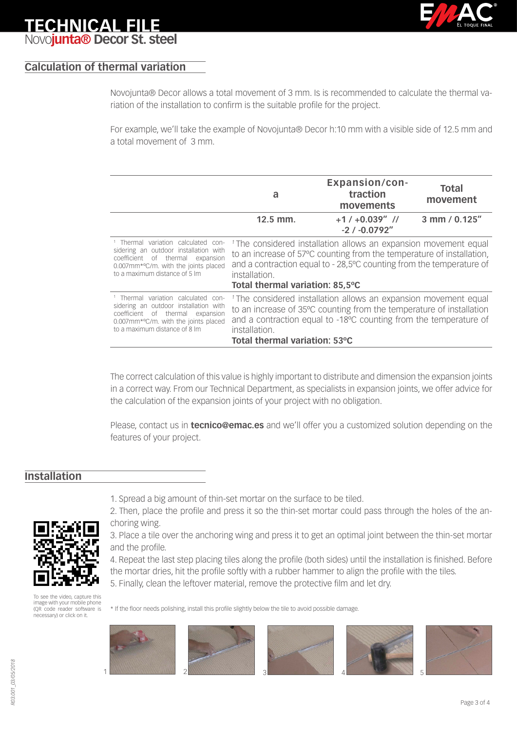

# **TECHNICAL FIL** Novo**junta® Decor St. steel**

## **Calculation of thermal variation**

Novojunta® Decor allows a total movement of 3 mm. Is is recommended to calculate the thermal variation of the installation to confirm is the suitable profile for the project.

For example, we'll take the example of Novojunta® Decor h:10 mm with a visible side of 12.5 mm and a total movement of 3 mm.

|                                                                                                                                                                                                                   | a                                                                                                                                                                                                                                                                                | <b>Expansion/con-</b><br>traction<br>movements                                                                                                                                                                           | <b>Total</b><br>movement |
|-------------------------------------------------------------------------------------------------------------------------------------------------------------------------------------------------------------------|----------------------------------------------------------------------------------------------------------------------------------------------------------------------------------------------------------------------------------------------------------------------------------|--------------------------------------------------------------------------------------------------------------------------------------------------------------------------------------------------------------------------|--------------------------|
|                                                                                                                                                                                                                   | $12.5$ mm.                                                                                                                                                                                                                                                                       | $+1/ +0.039''$ //<br>$-2/ -0.0792$ "                                                                                                                                                                                     | 3 mm / 0.125"            |
| <sup>1</sup> Thermal variation calculated con-<br>sidering an outdoor installation with<br>coefficient of thermal expansion<br>0.007mm*°C/m. with the joints placed<br>to a maximum distance of 5 lm              | <sup>1</sup> The considered installation allows an expansion movement equal<br>to an increase of 57°C counting from the temperature of installation,<br>and a contraction equal to - 28,5°C counting from the temperature of<br>installation.<br>Total thermal variation: 85,5°C |                                                                                                                                                                                                                          |                          |
| <sup>1</sup> Thermal variation calculated con-<br>sidering an outdoor installation with<br>coefficient of thermal expansion<br>0.007mm <sup>*o</sup> C/m. with the joints placed<br>to a maximum distance of 8 lm | installation.<br>Total thermal variation: 53°C                                                                                                                                                                                                                                   | <sup>1</sup> The considered installation allows an expansion movement equal<br>to an increase of 35°C counting from the temperature of installation<br>and a contraction equal to -18°C counting from the temperature of |                          |

The correct calculation of this value is highly important to distribute and dimension the expansion joints in a correct way. From our Technical Department, as specialists in expansion joints, we offer advice for the calculation of the expansion joints of your project with no obligation.

Please, contact us in **tecnico@emac.es** and we'll offer you a customized solution depending on the features of your project.

### **Installation**



1. Spread a big amount of thin-set mortar on the surface to be tiled.

2. Then, place the profile and press it so the thin-set mortar could pass through the holes of the anchoring wing.

3. Place a tile over the anchoring wing and press it to get an optimal joint between the thin-set mortar and the profile.

4. Repeat the last step placing tiles along the profile (both sides) until the installation is finished. Before the mortar dries, hit the profile softly with a rubber hammer to align the profile with the tiles.

5. Finally, clean the leftover material, remove the protective film and let dry.

To see the video, capture this image with your mobile phone (QR code reader software is necessary) or click on it.

\* If the floor needs polishing, install this profile slightly below the tile to avoid possible damage.